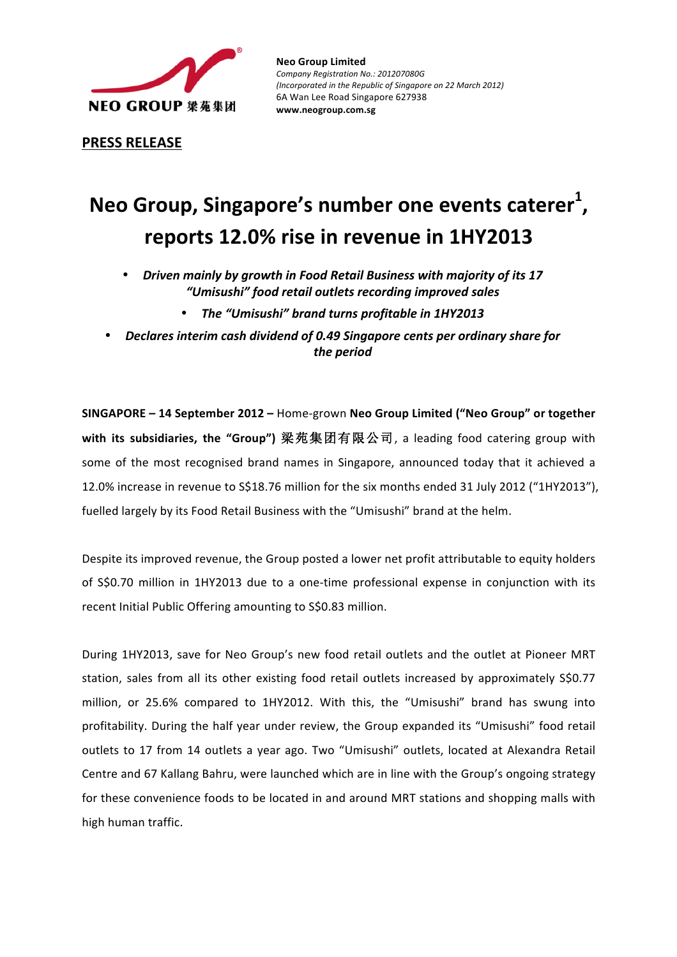

**Neo Group Limited** *Company Registration No.: 201207080G (Incorporated in the Republic of Singapore on 22 March 2012)* 6A Wan Lee Road Singapore 627938 **www.neogroup.com.sg**

**PRESS RELEASE**

# **Neo Group, Singapore's number one events caterer<sup>1</sup>, reports 12.0% rise in revenue in 1HY2013**

- Driven mainly by growth in Food Retail Business with majority of its 17 *"Umisushi" food retail outlets recording improved sales* 
	- The "Umisushi" brand turns profitable in 1HY2013
- **Declares interim cash dividend of 0.49 Singapore cents per ordinary share for** *the period*

**SINGAPORE** – 14 September 2012 – Home-grown Neo Group Limited ("Neo Group" or together with its subsidiaries, the "Group") 梁苑集团有限公司, a leading food catering group with some of the most recognised brand names in Singapore, announced today that it achieved a 12.0% increase in revenue to S\$18.76 million for the six months ended 31 July 2012 ("1HY2013"), fuelled largely by its Food Retail Business with the "Umisushi" brand at the helm.

Despite its improved revenue, the Group posted a lower net profit attributable to equity holders of S\$0.70 million in 1HY2013 due to a one-time professional expense in conjunction with its recent Initial Public Offering amounting to S\$0.83 million.

During 1HY2013, save for Neo Group's new food retail outlets and the outlet at Pioneer MRT station, sales from all its other existing food retail outlets increased by approximately S\$0.77 million, or 25.6% compared to 1HY2012. With this, the "Umisushi" brand has swung into profitability. During the half year under review, the Group expanded its "Umisushi" food retail outlets to 17 from 14 outlets a year ago. Two "Umisushi" outlets, located at Alexandra Retail Centre and 67 Kallang Bahru, were launched which are in line with the Group's ongoing strategy for these convenience foods to be located in and around MRT stations and shopping malls with high human traffic.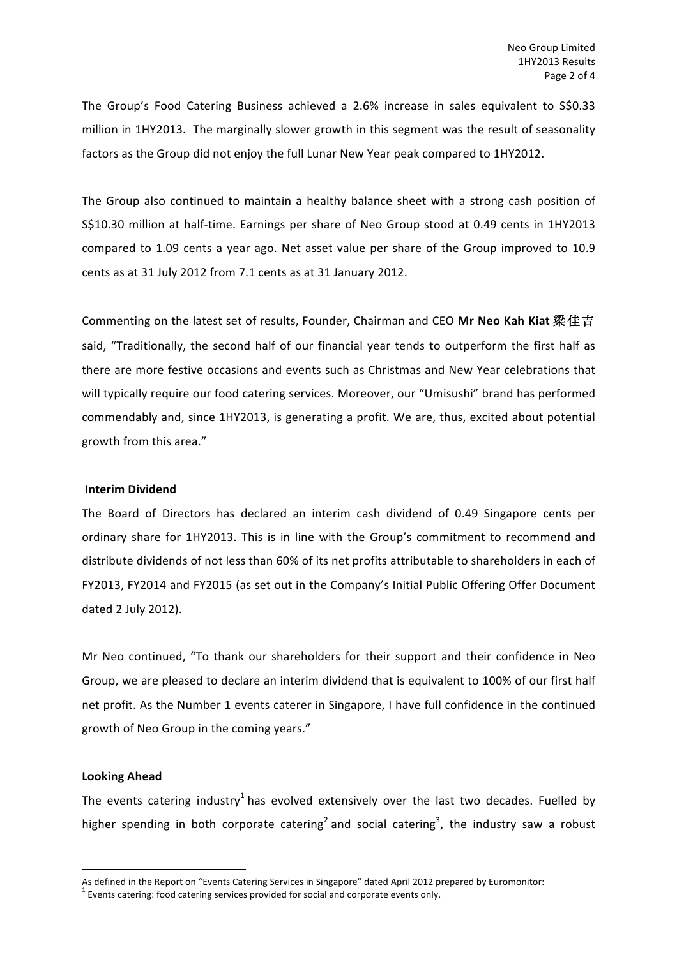The Group's Food Catering Business achieved a 2.6% increase in sales equivalent to S\$0.33 million in 1HY2013. The marginally slower growth in this segment was the result of seasonality factors as the Group did not enjoy the full Lunar New Year peak compared to 1HY2012.

The Group also continued to maintain a healthy balance sheet with a strong cash position of S\$10.30 million at half-time. Earnings per share of Neo Group stood at 0.49 cents in 1HY2013 compared to 1.09 cents a year ago. Net asset value per share of the Group improved to 10.9 cents as at 31 July 2012 from 7.1 cents as at 31 January 2012.

Commenting on the latest set of results, Founder, Chairman and CEO Mr Neo Kah Kiat 梁佳吉 said, "Traditionally, the second half of our financial year tends to outperform the first half as there are more festive occasions and events such as Christmas and New Year celebrations that will typically require our food catering services. Moreover, our "Umisushi" brand has performed commendably and, since 1HY2013, is generating a profit. We are, thus, excited about potential growth from this area."

### **Interim Dividend**

The Board of Directors has declared an interim cash dividend of 0.49 Singapore cents per ordinary share for 1HY2013. This is in line with the Group's commitment to recommend and distribute dividends of not less than 60% of its net profits attributable to shareholders in each of FY2013, FY2014 and FY2015 (as set out in the Company's Initial Public Offering Offer Document dated 2 July 2012).

Mr Neo continued, "To thank our shareholders for their support and their confidence in Neo Group, we are pleased to declare an interim dividend that is equivalent to 100% of our first half net profit. As the Number 1 events caterer in Singapore, I have full confidence in the continued growth of Neo Group in the coming years."

## **Looking Ahead**

<u> 1989 - Jan Samuel Barbara, político establecido de la provincia de la provincia de la provincia de la provinci</u>

The events catering industry<sup>1</sup> has evolved extensively over the last two decades. Fuelled by higher spending in both corporate catering<sup>2</sup> and social catering<sup>3</sup>, the industry saw a robust

As defined in the Report on "Events Catering Services in Singapore" dated April 2012 prepared by Euromonitor:  $\frac{1}{2}$  Events catering: food catering services provided for social and corporate events only.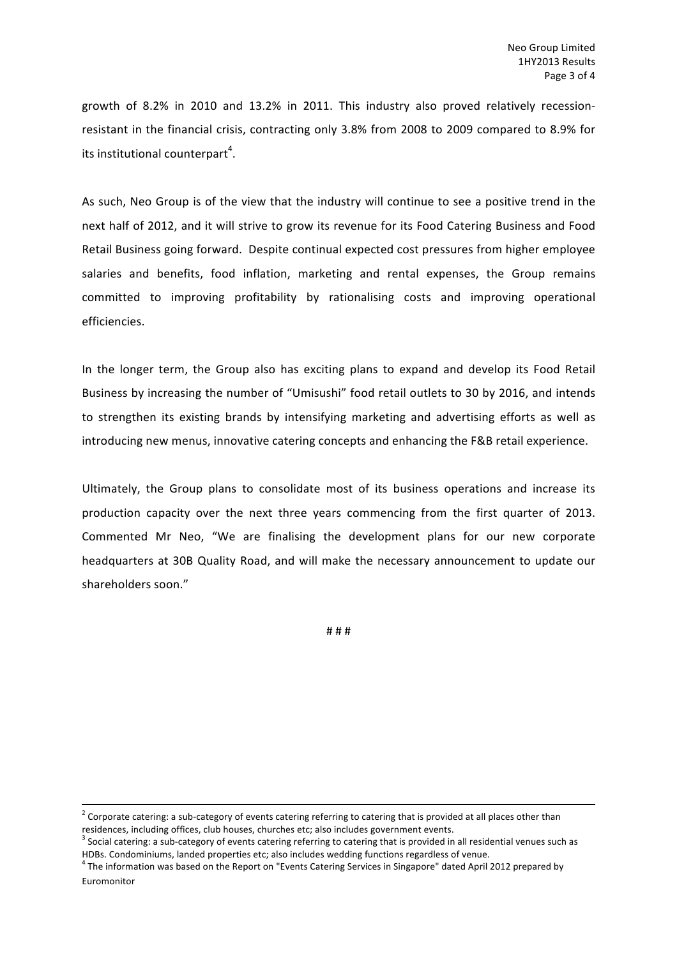growth of 8.2% in 2010 and 13.2% in 2011. This industry also proved relatively recessionresistant in the financial crisis, contracting only 3.8% from 2008 to 2009 compared to 8.9% for its institutional counterpart<sup>4</sup>.

As such, Neo Group is of the view that the industry will continue to see a positive trend in the next half of 2012, and it will strive to grow its revenue for its Food Catering Business and Food Retail Business going forward. Despite continual expected cost pressures from higher employee salaries and benefits, food inflation, marketing and rental expenses, the Group remains committed to improving profitability by rationalising costs and improving operational efficiencies.

In the longer term, the Group also has exciting plans to expand and develop its Food Retail Business by increasing the number of "Umisushi" food retail outlets to 30 by 2016, and intends to strengthen its existing brands by intensifying marketing and advertising efforts as well as introducing new menus, innovative catering concepts and enhancing the F&B retail experience.

Ultimately, the Group plans to consolidate most of its business operations and increase its production capacity over the next three years commencing from the first quarter of 2013. Commented Mr Neo, "We are finalising the development plans for our new corporate headquarters at 30B Quality Road, and will make the necessary announcement to update our shareholders soon."

# # #

 $2$  Corporate catering: a sub-category of events catering referring to catering that is provided at all places other than residences, including offices, club houses, churches etc; also includes government events.

 $3$  Social catering: a sub-category of events catering referring to catering that is provided in all residential venues such as HDBs. Condominiums, landed properties etc; also includes wedding functions regardless of venue.

 $4$  The information was based on the Report on "Events Catering Services in Singapore" dated April 2012 prepared by Euromonitor